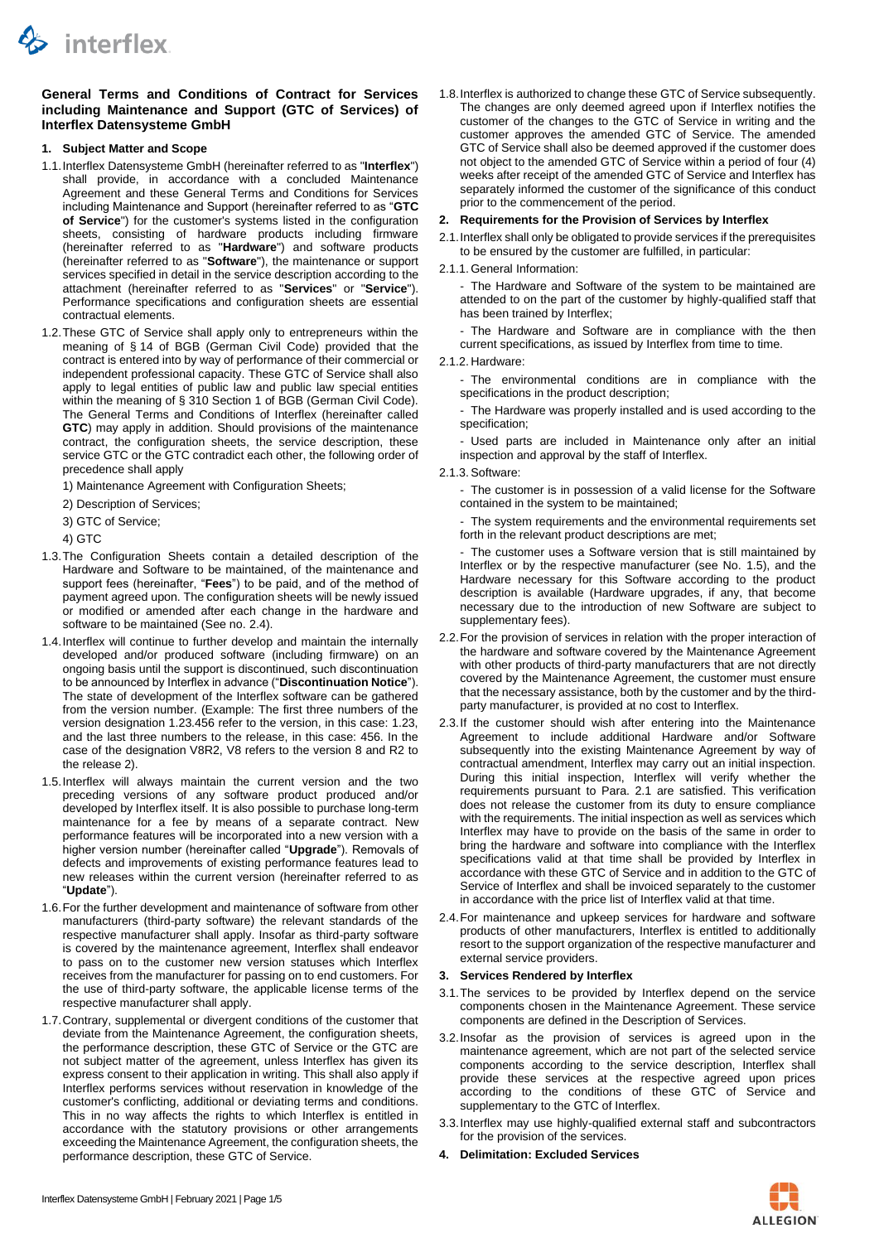

## **General Terms and Conditions of Contract for Services including Maintenance and Support (GTC of Services) of Interflex Datensysteme GmbH**

## **1. Subject Matter and Scope**

- 1.1.Interflex Datensysteme GmbH (hereinafter referred to as "**Interflex**") shall provide, in accordance with a concluded Maintenance Agreement and these General Terms and Conditions for Services including Maintenance and Support (hereinafter referred to as "**GTC of Service**") for the customer's systems listed in the configuration sheets, consisting of hardware products including firmware (hereinafter referred to as "**Hardware**") and software products (hereinafter referred to as "**Software**"), the maintenance or support services specified in detail in the service description according to the attachment (hereinafter referred to as "**Services**" or "**Service**"). Performance specifications and configuration sheets are essential contractual elements.
- 1.2.These GTC of Service shall apply only to entrepreneurs within the meaning of § 14 of BGB (German Civil Code) provided that the contract is entered into by way of performance of their commercial or independent professional capacity. These GTC of Service shall also apply to legal entities of public law and public law special entities within the meaning of § 310 Section 1 of BGB (German Civil Code). The General Terms and Conditions of Interflex (hereinafter called **GTC**) may apply in addition. Should provisions of the maintenance contract, the configuration sheets, the service description, these service GTC or the GTC contradict each other, the following order of precedence shall apply
	- 1) Maintenance Agreement with Configuration Sheets;
	- 2) Description of Services;
	- 3) GTC of Service;
	- 4) GTC
- 1.3.The Configuration Sheets contain a detailed description of the Hardware and Software to be maintained, of the maintenance and support fees (hereinafter, "**Fees**") to be paid, and of the method of payment agreed upon. The configuration sheets will be newly issued or modified or amended after each change in the hardware and software to be maintained (See no. [2.4\)](#page-0-0).
- <span id="page-0-3"></span>1.4.Interflex will continue to further develop and maintain the internally developed and/or produced software (including firmware) on an ongoing basis until the support is discontinued, such discontinuation to be announced by Interflex in advance ("**Discontinuation Notice**"). The state of development of the Interflex software can be gathered from the version number. (Example: The first three numbers of the version designation 1.23.456 refer to the version, in this case: 1.23, and the last three numbers to the release, in this case: 456. In the case of the designation V8R2, V8 refers to the version 8 and R2 to the release 2).
- <span id="page-0-1"></span>1.5.Interflex will always maintain the current version and the two preceding versions of any software product produced and/or developed by Interflex itself. It is also possible to purchase long-term maintenance for a fee by means of a separate contract. New performance features will be incorporated into a new version with a higher version number (hereinafter called "**Upgrade**"). Removals of defects and improvements of existing performance features lead to new releases within the current version (hereinafter referred to as "**Update**").
- 1.6.For the further development and maintenance of software from other manufacturers (third-party software) the relevant standards of the respective manufacturer shall apply. Insofar as third-party software is covered by the maintenance agreement, Interflex shall endeavor to pass on to the customer new version statuses which Interflex receives from the manufacturer for passing on to end customers. For the use of third-party software, the applicable license terms of the respective manufacturer shall apply.
- 1.7.Contrary, supplemental or divergent conditions of the customer that deviate from the Maintenance Agreement, the configuration sheets, the performance description, these GTC of Service or the GTC are not subject matter of the agreement, unless Interflex has given its express consent to their application in writing. This shall also apply if Interflex performs services without reservation in knowledge of the customer's conflicting, additional or deviating terms and conditions. This in no way affects the rights to which Interflex is entitled in accordance with the statutory provisions or other arrangements exceeding the Maintenance Agreement, the configuration sheets, the performance description, these GTC of Service.

1.8.Interflex is authorized to change these GTC of Service subsequently. The changes are only deemed agreed upon if Interflex notifies the customer of the changes to the GTC of Service in writing and the customer approves the amended GTC of Service. The amended GTC of Service shall also be deemed approved if the customer does not object to the amended GTC of Service within a period of four (4) weeks after receipt of the amended GTC of Service and Interflex has separately informed the customer of the significance of this conduct prior to the commencement of the period.

## **2. Requirements for the Provision of Services by Interflex**

- <span id="page-0-2"></span>2.1.Interflex shall only be obligated to provide services if the prerequisites to be ensured by the customer are fulfilled, in particular:
- 2.1.1. General Information:

- The Hardware and Software of the system to be maintained are attended to on the part of the customer by highly-qualified staff that has been trained by Interflex;

The Hardware and Software are in compliance with the then current specifications, as issued by Interflex from time to time.

- 2.1.2. Hardware:
	- The environmental conditions are in compliance with the specifications in the product description;
	- The Hardware was properly installed and is used according to the specification;

- Used parts are included in Maintenance only after an initial inspection and approval by the staff of Interflex.

2.1.3.Software:

- The customer is in possession of a valid license for the Software contained in the system to be maintained;

The system requirements and the environmental requirements set forth in the relevant product descriptions are met;

- The customer uses a Software version that is still maintained by Interflex or by the respective manufacturer (see No. [1.5\)](#page-0-1), and the Hardware necessary for this Software according to the product description is available (Hardware upgrades, if any, that become necessary due to the introduction of new Software are subject to supplementary fees).

- 2.2.For the provision of services in relation with the proper interaction of the hardware and software covered by the Maintenance Agreement with other products of third-party manufacturers that are not directly covered by the Maintenance Agreement, the customer must ensure that the necessary assistance, both by the customer and by the thirdparty manufacturer, is provided at no cost to Interflex.
- 2.3.If the customer should wish after entering into the Maintenance Agreement to include additional Hardware and/or Software subsequently into the existing Maintenance Agreement by way of contractual amendment, Interflex may carry out an initial inspection. During this initial inspection, Interflex will verify whether the requirements pursuant to Para. [2.1](#page-0-2) are satisfied. This verification does not release the customer from its duty to ensure compliance with the requirements. The initial inspection as well as services which Interflex may have to provide on the basis of the same in order to bring the hardware and software into compliance with the Interflex specifications valid at that time shall be provided by Interflex in accordance with these GTC of Service and in addition to the GTC of Service of Interflex and shall be invoiced separately to the customer in accordance with the price list of Interflex valid at that time.
- <span id="page-0-0"></span>2.4.For maintenance and upkeep services for hardware and software products of other manufacturers, Interflex is entitled to additionally resort to the support organization of the respective manufacturer and external service providers.

### **3. Services Rendered by Interflex**

- 3.1.The services to be provided by Interflex depend on the service components chosen in the Maintenance Agreement. These service components are defined in the Description of Services.
- 3.2.Insofar as the provision of services is agreed upon in the maintenance agreement, which are not part of the selected service components according to the service description, Interflex shall provide these services at the respective agreed upon prices according to the conditions of these GTC of Service and supplementary to the GTC of Interflex.
- 3.3.Interflex may use highly-qualified external staff and subcontractors for the provision of the services.
- <span id="page-0-4"></span>**4. Delimitation: Excluded Services**

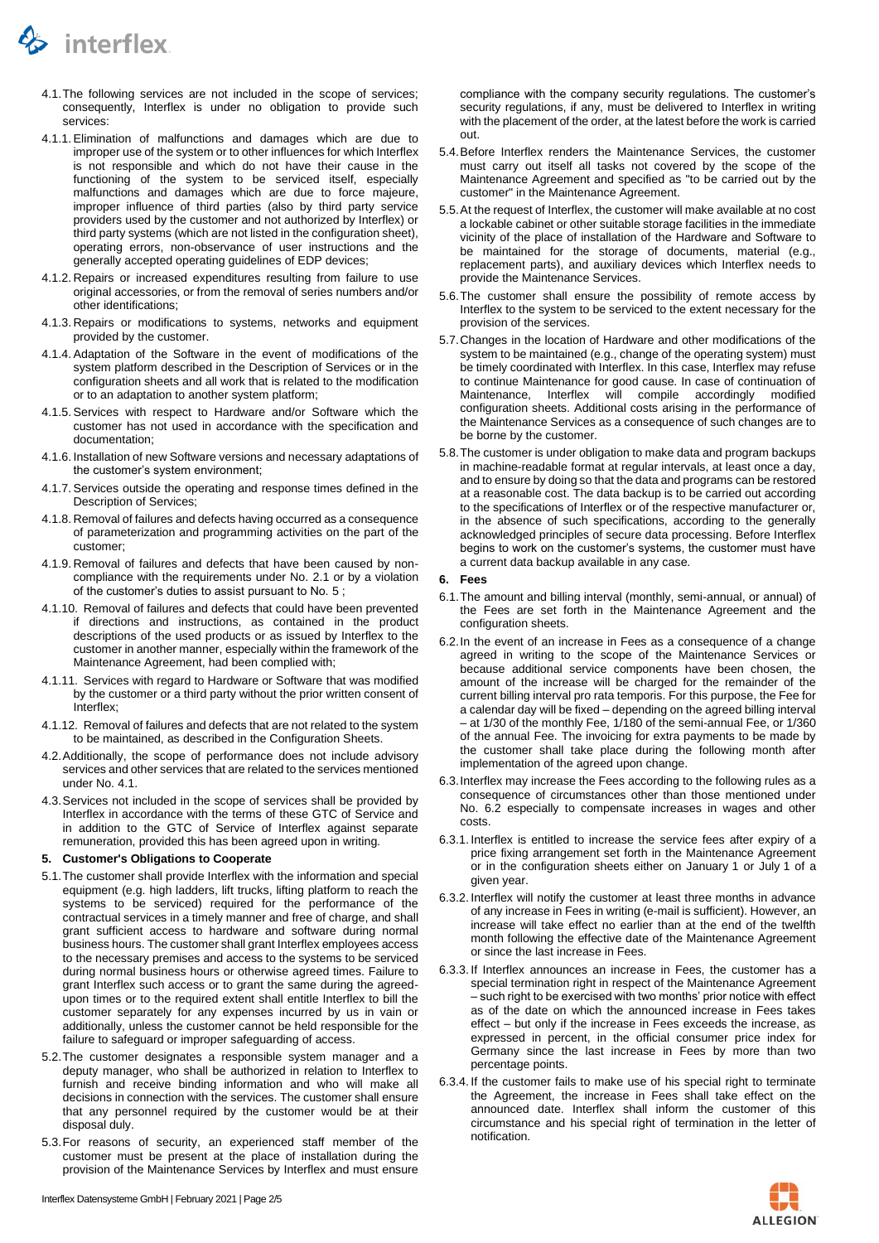

- <span id="page-1-1"></span>4.1.The following services are not included in the scope of services; consequently, Interflex is under no obligation to provide such services:
- 4.1.1.Elimination of malfunctions and damages which are due to improper use of the system or to other influences for which Interflex is not responsible and which do not have their cause in the functioning of the system to be serviced itself, especially malfunctions and damages which are due to force majeure, improper influence of third parties (also by third party service providers used by the customer and not authorized by Interflex) or third party systems (which are not listed in the configuration sheet), operating errors, non-observance of user instructions and the generally accepted operating guidelines of EDP devices;
- 4.1.2. Repairs or increased expenditures resulting from failure to use original accessories, or from the removal of series numbers and/or other identifications;
- 4.1.3. Repairs or modifications to systems, networks and equipment provided by the customer.
- 4.1.4.Adaptation of the Software in the event of modifications of the system platform described in the Description of Services or in the configuration sheets and all work that is related to the modification or to an adaptation to another system platform;
- 4.1.5.Services with respect to Hardware and/or Software which the customer has not used in accordance with the specification and documentation;
- 4.1.6. Installation of new Software versions and necessary adaptations of the customer's system environment;
- 4.1.7.Services outside the operating and response times defined in the Description of Services;
- 4.1.8. Removal of failures and defects having occurred as a consequence of parameterization and programming activities on the part of the customer;
- 4.1.9. Removal of failures and defects that have been caused by noncompliance with the requirements under No. [2.1](#page-0-2) or by a violation of the customer's duties to assist pursuant to No. [5](#page-1-0) ;
- 4.1.10. Removal of failures and defects that could have been prevented if directions and instructions, as contained in the product descriptions of the used products or as issued by Interflex to the customer in another manner, especially within the framework of the Maintenance Agreement, had been complied with;
- 4.1.11. Services with regard to Hardware or Software that was modified by the customer or a third party without the prior written consent of Interflex;
- 4.1.12. Removal of failures and defects that are not related to the system to be maintained, as described in the Configuration Sheets.
- 4.2.Additionally, the scope of performance does not include advisory services and other services that are related to the services mentioned under No. [4.1.](#page-1-1)
- 4.3.Services not included in the scope of services shall be provided by Interflex in accordance with the terms of these GTC of Service and in addition to the GTC of Service of Interflex against separate remuneration, provided this has been agreed upon in writing.

#### <span id="page-1-0"></span>**5. Customer's Obligations to Cooperate**

- 5.1.The customer shall provide Interflex with the information and special equipment (e.g. high ladders, lift trucks, lifting platform to reach the systems to be serviced) required for the performance of the contractual services in a timely manner and free of charge, and shall grant sufficient access to hardware and software during normal business hours. The customer shall grant Interflex employees access to the necessary premises and access to the systems to be serviced during normal business hours or otherwise agreed times. Failure to grant Interflex such access or to grant the same during the agreedupon times or to the required extent shall entitle Interflex to bill the customer separately for any expenses incurred by us in vain or additionally, unless the customer cannot be held responsible for the failure to safeguard or improper safeguarding of access.
- 5.2.The customer designates a responsible system manager and a deputy manager, who shall be authorized in relation to Interflex to furnish and receive binding information and who will make all decisions in connection with the services. The customer shall ensure that any personnel required by the customer would be at their disposal duly.
- 5.3.For reasons of security, an experienced staff member of the customer must be present at the place of installation during the provision of the Maintenance Services by Interflex and must ensure

compliance with the company security regulations. The customer's security regulations, if any, must be delivered to Interflex in writing with the placement of the order, at the latest before the work is carried out.

- 5.4.Before Interflex renders the Maintenance Services, the customer must carry out itself all tasks not covered by the scope of the Maintenance Agreement and specified as "to be carried out by the customer" in the Maintenance Agreement.
- 5.5.At the request of Interflex, the customer will make available at no cost a lockable cabinet or other suitable storage facilities in the immediate vicinity of the place of installation of the Hardware and Software to be maintained for the storage of documents, material (e.g., replacement parts), and auxiliary devices which Interflex needs to provide the Maintenance Services.
- 5.6.The customer shall ensure the possibility of remote access by Interflex to the system to be serviced to the extent necessary for the provision of the services.
- 5.7.Changes in the location of Hardware and other modifications of the system to be maintained (e.g., change of the operating system) must be timely coordinated with Interflex. In this case, Interflex may refuse to continue Maintenance for good cause. In case of continuation of Maintenance, Interflex will compile accordingly modified configuration sheets. Additional costs arising in the performance of the Maintenance Services as a consequence of such changes are to be borne by the customer.
- <span id="page-1-3"></span>5.8.The customer is under obligation to make data and program backups in machine-readable format at regular intervals, at least once a day, and to ensure by doing so that the data and programs can be restored at a reasonable cost. The data backup is to be carried out according to the specifications of Interflex or of the respective manufacturer or, in the absence of such specifications, according to the generally acknowledged principles of secure data processing. Before Interflex begins to work on the customer's systems, the customer must have a current data backup available in any case.

#### **6. Fees**

- 6.1.The amount and billing interval (monthly, semi-annual, or annual) of the Fees are set forth in the Maintenance Agreement and the configuration sheets.
- <span id="page-1-2"></span>6.2.In the event of an increase in Fees as a consequence of a change agreed in writing to the scope of the Maintenance Services or because additional service components have been chosen, the amount of the increase will be charged for the remainder of the current billing interval pro rata temporis. For this purpose, the Fee for a calendar day will be fixed – depending on the agreed billing interval – at 1/30 of the monthly Fee, 1/180 of the semi-annual Fee, or 1/360 of the annual Fee. The invoicing for extra payments to be made by the customer shall take place during the following month after implementation of the agreed upon change.
- 6.3.Interflex may increase the Fees according to the following rules as a consequence of circumstances other than those mentioned under No. [6.2](#page-1-2) especially to compensate increases in wages and other costs.
- 6.3.1. Interflex is entitled to increase the service fees after expiry of a price fixing arrangement set forth in the Maintenance Agreement or in the configuration sheets either on January 1 or July 1 of a given year.
- 6.3.2. Interflex will notify the customer at least three months in advance of any increase in Fees in writing (e-mail is sufficient). However, an increase will take effect no earlier than at the end of the twelfth month following the effective date of the Maintenance Agreement or since the last increase in Fees.
- 6.3.3. If Interflex announces an increase in Fees, the customer has a special termination right in respect of the Maintenance Agreement – such right to be exercised with two months' prior notice with effect as of the date on which the announced increase in Fees takes effect – but only if the increase in Fees exceeds the increase, as expressed in percent, in the official consumer price index for Germany since the last increase in Fees by more than two percentage points.
- 6.3.4. If the customer fails to make use of his special right to terminate the Agreement, the increase in Fees shall take effect on the announced date. Interflex shall inform the customer of this circumstance and his special right of termination in the letter of notification.

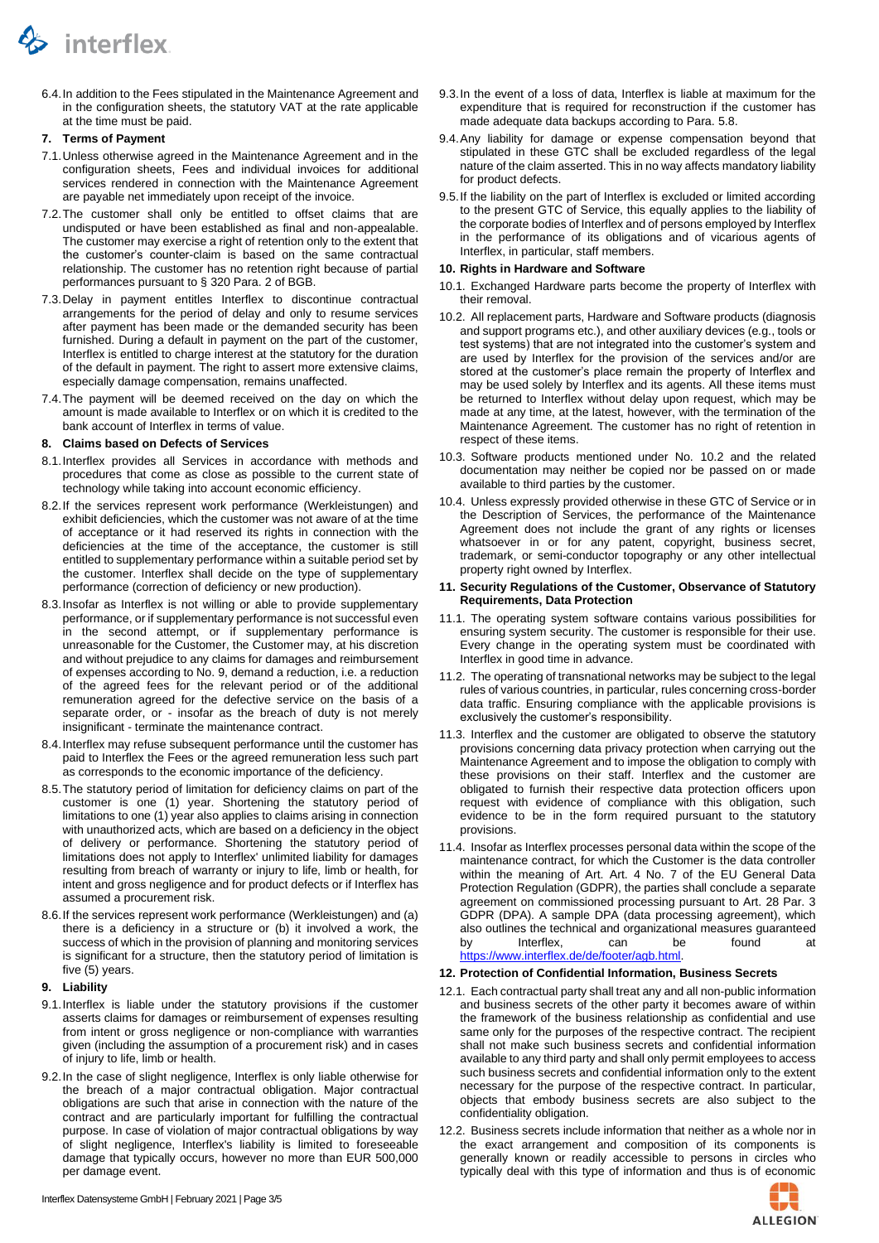

6.4.In addition to the Fees stipulated in the Maintenance Agreement and in the configuration sheets, the statutory VAT at the rate applicable at the time must be paid.

### **7. Terms of Payment**

- 7.1.Unless otherwise agreed in the Maintenance Agreement and in the configuration sheets, Fees and individual invoices for additional services rendered in connection with the Maintenance Agreement are payable net immediately upon receipt of the invoice.
- 7.2.The customer shall only be entitled to offset claims that are undisputed or have been established as final and non-appealable. The customer may exercise a right of retention only to the extent that the customer's counter-claim is based on the same contractual relationship. The customer has no retention right because of partial performances pursuant to § 320 Para. 2 of BGB.
- 7.3.Delay in payment entitles Interflex to discontinue contractual arrangements for the period of delay and only to resume services after payment has been made or the demanded security has been furnished. During a default in payment on the part of the customer, Interflex is entitled to charge interest at the statutory for the duration of the default in payment. The right to assert more extensive claims, especially damage compensation, remains unaffected.
- 7.4.The payment will be deemed received on the day on which the amount is made available to Interflex or on which it is credited to the bank account of Interflex in terms of value.

### **8. Claims based on Defects of Services**

- 8.1.Interflex provides all Services in accordance with methods and procedures that come as close as possible to the current state of technology while taking into account economic efficiency.
- 8.2.If the services represent work performance (Werkleistungen) and exhibit deficiencies, which the customer was not aware of at the time of acceptance or it had reserved its rights in connection with the deficiencies at the time of the acceptance, the customer is still entitled to supplementary performance within a suitable period set by the customer. Interflex shall decide on the type of supplementary performance (correction of deficiency or new production).
- 8.3.Insofar as Interflex is not willing or able to provide supplementary performance, or if supplementary performance is not successful even in the second attempt, or if supplementary performance is unreasonable for the Customer, the Customer may, at his discretion and without prejudice to any claims for damages and reimbursement of expenses according to No[. 9,](#page-2-0) demand a reduction, i.e. a reduction of the agreed fees for the relevant period or of the additional remuneration agreed for the defective service on the basis of a separate order, or - insofar as the breach of duty is not merely insignificant - terminate the maintenance contract.
- 8.4.Interflex may refuse subsequent performance until the customer has paid to Interflex the Fees or the agreed remuneration less such part as corresponds to the economic importance of the deficiency.
- 8.5.The statutory period of limitation for deficiency claims on part of the customer is one (1) year. Shortening the statutory period of limitations to one (1) year also applies to claims arising in connection with unauthorized acts, which are based on a deficiency in the object of delivery or performance. Shortening the statutory period of limitations does not apply to Interflex' unlimited liability for damages resulting from breach of warranty or injury to life, limb or health, for intent and gross negligence and for product defects or if Interflex has assumed a procurement risk.
- 8.6.If the services represent work performance (Werkleistungen) and (a) there is a deficiency in a structure or (b) it involved a work, the success of which in the provision of planning and monitoring services is significant for a structure, then the statutory period of limitation is five (5) years.

## <span id="page-2-0"></span>**9. Liability**

- 9.1.Interflex is liable under the statutory provisions if the customer asserts claims for damages or reimbursement of expenses resulting from intent or gross negligence or non-compliance with warranties given (including the assumption of a procurement risk) and in cases of injury to life, limb or health.
- 9.2.In the case of slight negligence, Interflex is only liable otherwise for the breach of a major contractual obligation. Major contractual obligations are such that arise in connection with the nature of the contract and are particularly important for fulfilling the contractual purpose. In case of violation of major contractual obligations by way of slight negligence, Interflex's liability is limited to foreseeable damage that typically occurs, however no more than EUR 500,000 per damage event.
- 9.3.In the event of a loss of data, Interflex is liable at maximum for the expenditure that is required for reconstruction if the customer has made adequate data backups according to Para[. 5.8.](#page-1-3)
- 9.4.Any liability for damage or expense compensation beyond that stipulated in these GTC shall be excluded regardless of the legal nature of the claim asserted. This in no way affects mandatory liability for product defects.
- 9.5.If the liability on the part of Interflex is excluded or limited according to the present GTC of Service, this equally applies to the liability of the corporate bodies of Interflex and of persons employed by Interflex in the performance of its obligations and of vicarious agents of Interflex, in particular, staff members.

### **10. Rights in Hardware and Software**

- 10.1. Exchanged Hardware parts become the property of Interflex with their removal.
- <span id="page-2-1"></span>10.2. All replacement parts, Hardware and Software products (diagnosis and support programs etc.), and other auxiliary devices (e.g., tools or test systems) that are not integrated into the customer's system and are used by Interflex for the provision of the services and/or are stored at the customer's place remain the property of Interflex and may be used solely by Interflex and its agents. All these items must be returned to Interflex without delay upon request, which may be made at any time, at the latest, however, with the termination of the Maintenance Agreement. The customer has no right of retention in respect of these items.
- 10.3. Software products mentioned under No. [10.2](#page-2-1) and the related documentation may neither be copied nor be passed on or made available to third parties by the customer.
- 10.4. Unless expressly provided otherwise in these GTC of Service or in the Description of Services, the performance of the Maintenance Agreement does not include the grant of any rights or licenses whatsoever in or for any patent, copyright, business secret, trademark, or semi-conductor topography or any other intellectual property right owned by Interflex.

### **11. Security Regulations of the Customer, Observance of Statutory Requirements, Data Protection**

- 11.1. The operating system software contains various possibilities for ensuring system security. The customer is responsible for their use. Every change in the operating system must be coordinated with Interflex in good time in advance.
- 11.2. The operating of transnational networks may be subject to the legal rules of various countries, in particular, rules concerning cross-border data traffic. Ensuring compliance with the applicable provisions is exclusively the customer's responsibility.
- 11.3. Interflex and the customer are obligated to observe the statutory provisions concerning data privacy protection when carrying out the Maintenance Agreement and to impose the obligation to comply with these provisions on their staff. Interflex and the customer are obligated to furnish their respective data protection officers upon request with evidence of compliance with this obligation, such evidence to be in the form required pursuant to the statutory provisions.
- 11.4. Insofar as Interflex processes personal data within the scope of the maintenance contract, for which the Customer is the data controller within the meaning of Art. Art. 4 No. 7 of the EU General Data Protection Regulation (GDPR), the parties shall conclude a separate agreement on commissioned processing pursuant to Art. 28 Par. 3 GDPR (DPA). A sample DPA (data processing agreement), which also outlines the technical and organizational measures guaranteed by Interflex, can be found at [https://www.interflex.de/de/footer/agb.html.](https://www.interflex.de/de/footer/agb.html)

### **12. Protection of Confidential Information, Business Secrets**

- <span id="page-2-2"></span>12.1. Each contractual party shall treat any and all non-public information and business secrets of the other party it becomes aware of within the framework of the business relationship as confidential and use same only for the purposes of the respective contract. The recipient shall not make such business secrets and confidential information available to any third party and shall only permit employees to access such business secrets and confidential information only to the extent necessary for the purpose of the respective contract. In particular, objects that embody business secrets are also subject to the confidentiality obligation.
- 12.2. Business secrets include information that neither as a whole nor in the exact arrangement and composition of its components is generally known or readily accessible to persons in circles who typically deal with this type of information and thus is of economic

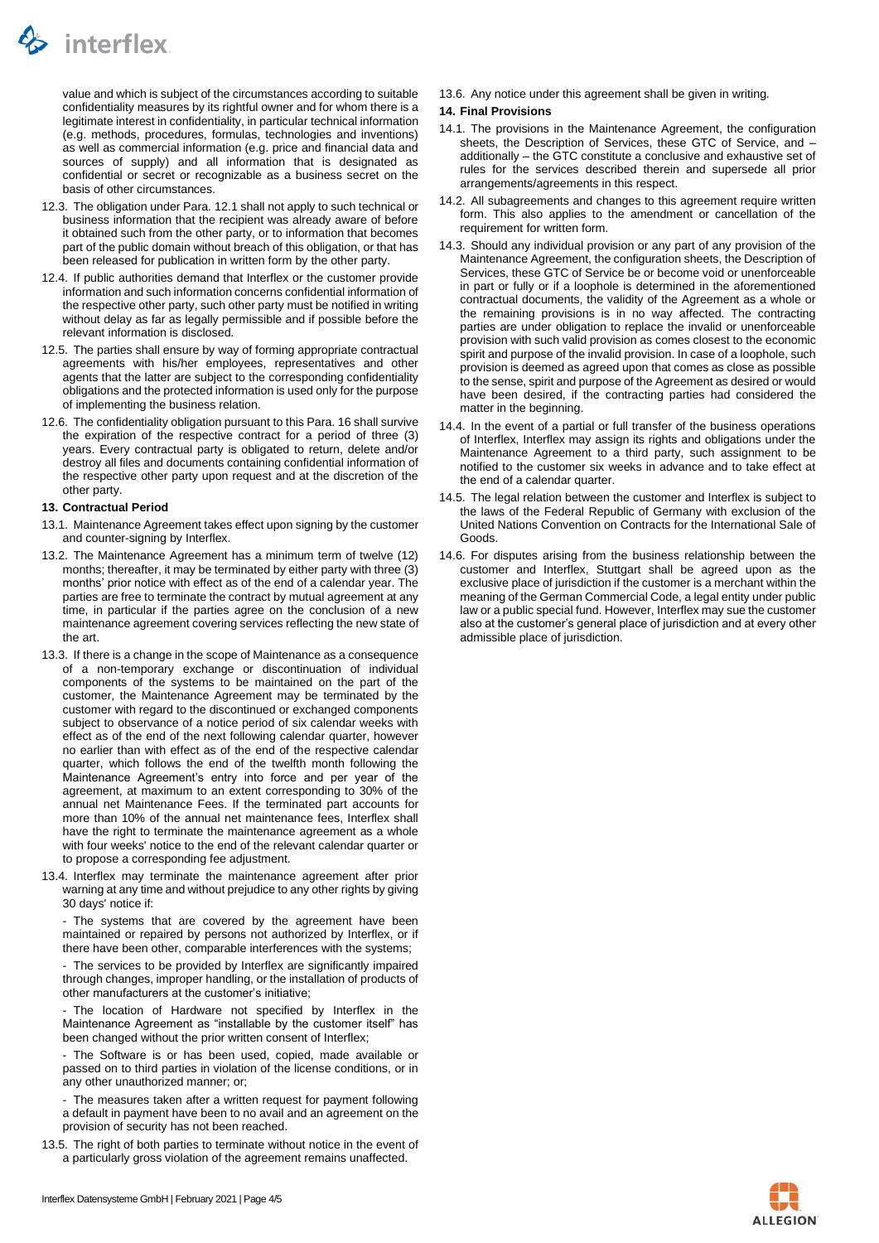

value and which is subject of the circumstances according to suitable confidentiality measures by its rightful owner and for whom there is a legitimate interest in confidentiality, in particular technical information (e.g. methods, procedures, formulas, technologies and inventions) as well as commercial information (e.g. price and financial data and sources of supply) and all information that is designated as confidential or secret or recognizable as a business secret on the basis of other circumstances.

- 12.3. The obligation under Para. [12.1](#page-2-2) shall not apply to such technical or business information that the recipient was already aware of before it obtained such from the other party, or to information that becomes part of the public domain without breach of this obligation, or that has been released for publication in written form by the other party.
- 12.4. If public authorities demand that Interflex or the customer provide information and such information concerns confidential information of the respective other party, such other party must be notified in writing without delay as far as legally permissible and if possible before the relevant information is disclosed.
- 12.5. The parties shall ensure by way of forming appropriate contractual agreements with his/her employees, representatives and other agents that the latter are subject to the corresponding confidentiality obligations and the protected information is used only for the purpose of implementing the business relation.
- 12.6. The confidentiality obligation pursuant to this Para. 16 shall survive the expiration of the respective contract for a period of three (3) years. Every contractual party is obligated to return, delete and/or destroy all files and documents containing confidential information of the respective other party upon request and at the discretion of the other party.

## **13. Contractual Period**

- 13.1. Maintenance Agreement takes effect upon signing by the customer and counter-signing by Interflex.
- 13.2. The Maintenance Agreement has a minimum term of twelve (12) months; thereafter, it may be terminated by either party with three (3) months' prior notice with effect as of the end of a calendar year. The parties are free to terminate the contract by mutual agreement at any time, in particular if the parties agree on the conclusion of a new maintenance agreement covering services reflecting the new state of the art.
- 13.3. If there is a change in the scope of Maintenance as a consequence of a non-temporary exchange or discontinuation of individual components of the systems to be maintained on the part of the customer, the Maintenance Agreement may be terminated by the customer with regard to the discontinued or exchanged components subject to observance of a notice period of six calendar weeks with effect as of the end of the next following calendar quarter, however no earlier than with effect as of the end of the respective calendar quarter, which follows the end of the twelfth month following the Maintenance Agreement's entry into force and per year of the agreement, at maximum to an extent corresponding to 30% of the annual net Maintenance Fees. If the terminated part accounts for more than 10% of the annual net maintenance fees, Interflex shall have the right to terminate the maintenance agreement as a whole with four weeks' notice to the end of the relevant calendar quarter or to propose a corresponding fee adjustment.
- 13.4. Interflex may terminate the maintenance agreement after prior warning at any time and without prejudice to any other rights by giving 30 days' notice if:

- The systems that are covered by the agreement have been maintained or repaired by persons not authorized by Interflex, or if there have been other, comparable interferences with the systems;

- The services to be provided by Interflex are significantly impaired through changes, improper handling, or the installation of products of other manufacturers at the customer's initiative;

The location of Hardware not specified by Interflex in the Maintenance Agreement as "installable by the customer itself" has been changed without the prior written consent of Interflex;

- The Software is or has been used, copied, made available or passed on to third parties in violation of the license conditions, or in any other unauthorized manner; or;

- The measures taken after a written request for payment following a default in payment have been to no avail and an agreement on the provision of security has not been reached.

13.5. The right of both parties to terminate without notice in the event of a particularly gross violation of the agreement remains unaffected.

13.6. Any notice under this agreement shall be given in writing.

### **14. Final Provisions**

- 14.1. The provisions in the Maintenance Agreement, the configuration sheets, the Description of Services, these GTC of Service, and – additionally – the GTC constitute a conclusive and exhaustive set of rules for the services described therein and supersede all prior arrangements/agreements in this respect.
- 14.2. All subagreements and changes to this agreement require written form. This also applies to the amendment or cancellation of the requirement for written form.
- 14.3. Should any individual provision or any part of any provision of the Maintenance Agreement, the configuration sheets, the Description of Services, these GTC of Service be or become void or unenforceable in part or fully or if a loophole is determined in the aforementioned contractual documents, the validity of the Agreement as a whole or the remaining provisions is in no way affected. The contracting parties are under obligation to replace the invalid or unenforceable provision with such valid provision as comes closest to the economic spirit and purpose of the invalid provision. In case of a loophole, such provision is deemed as agreed upon that comes as close as possible to the sense, spirit and purpose of the Agreement as desired or would have been desired, if the contracting parties had considered the matter in the beginning.
- 14.4. In the event of a partial or full transfer of the business operations of Interflex, Interflex may assign its rights and obligations under the Maintenance Agreement to a third party, such assignment to be notified to the customer six weeks in advance and to take effect at the end of a calendar quarter.
- 14.5. The legal relation between the customer and Interflex is subject to the laws of the Federal Republic of Germany with exclusion of the United Nations Convention on Contracts for the International Sale of Goods.
- 14.6. For disputes arising from the business relationship between the customer and Interflex, Stuttgart shall be agreed upon as the exclusive place of jurisdiction if the customer is a merchant within the meaning of the German Commercial Code, a legal entity under public law or a public special fund. However, Interflex may sue the customer also at the customer's general place of jurisdiction and at every other admissible place of jurisdiction.